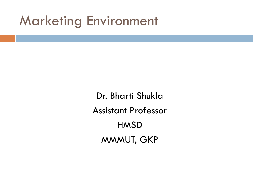## Marketing Environment

Dr. Bharti Shukla Assistant Professor **HMSD** MMMUT, GKP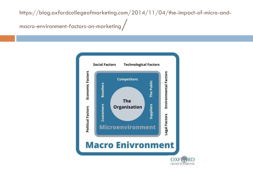https://blog.oxfordcollegeofmarketing.com/2014/11/04/the-impact-of-micro-andmacro-environment-factors-on-marketing/

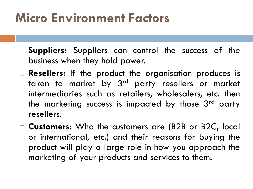## **Micro Environment Factors**

- **Suppliers:** Suppliers can control the success of the business when they hold power.
- **Resellers:** If the product the organisation produces is taken to market by 3<sup>rd</sup> party resellers or market intermediaries such as retailers, wholesalers, etc. then the marketing success is impacted by those 3<sup>rd</sup> party resellers.
- **Customers**: Who the customers are (B2B or B2C, local or international, etc.) and their reasons for buying the product will play a large role in how you approach the marketing of your products and services to them.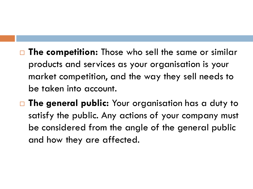- □ The competition: Those who sell the same or similar products and services as your organisation is your market competition, and the way they sell needs to be taken into account.
- **The general public:** Your organisation has a duty to satisfy the public. Any actions of your company must be considered from the angle of the general public and how they are affected.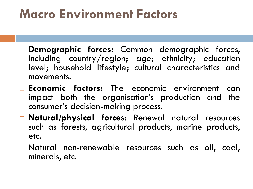## **Macro Environment Factors**

- **Demographic forces:** Common demographic forces, including country/region; age; ethnicity; education level; household lifestyle; cultural characteristics and movements.
- **Economic factors:** The economic environment can impact both the organisation's production and the consumer's decision-making process.
- **Natural/physical forces**: Renewal natural resources such as forests, agricultural products, marine products, etc.

Natural non-renewable resources such as oil, coal, minerals, etc.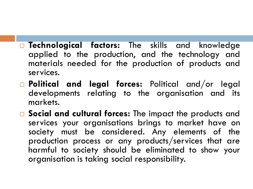- **Technological factors:** The skills and knowledge applied to the production, and the technology and materials needed for the production of products and services.
- **Political and legal forces:** Political and/or legal developments relating to the organisation and its markets.
- **Social and cultural forces:** The impact the products and services your organisations brings to market have on society must be considered. Any elements of the production process or any products/services that are harmful to society should be eliminated to show your organisation is taking social responsibility.